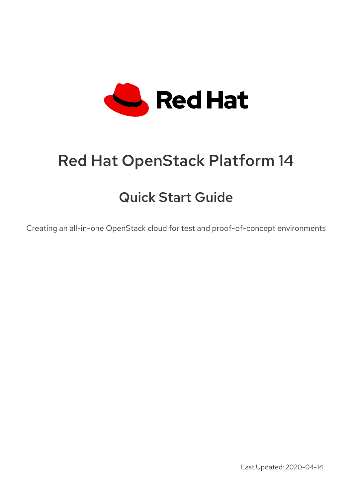

# Red Hat OpenStack Platform 14

# Quick Start Guide

Creating an all-in-one OpenStack cloud for test and proof-of-concept environments

Last Updated: 2020-04-14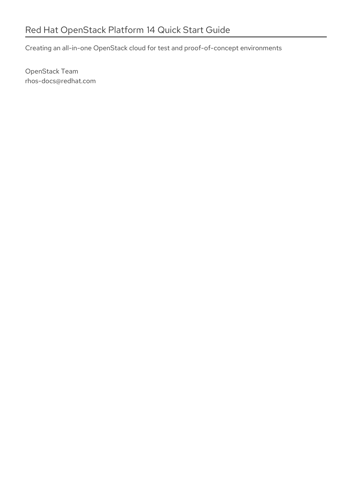Creating an all-in-one OpenStack cloud for test and proof-of-concept environments

OpenStack Team rhos-docs@redhat.com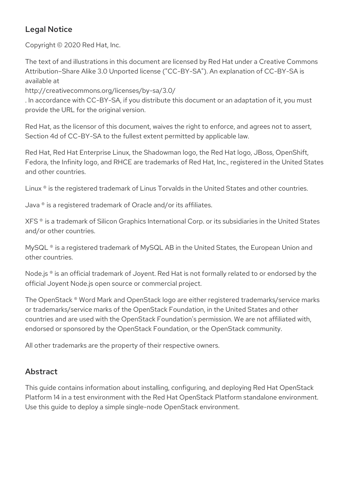### Legal Notice

Copyright © 2020 Red Hat, Inc.

The text of and illustrations in this document are licensed by Red Hat under a Creative Commons Attribution–Share Alike 3.0 Unported license ("CC-BY-SA"). An explanation of CC-BY-SA is available at

http://creativecommons.org/licenses/by-sa/3.0/

. In accordance with CC-BY-SA, if you distribute this document or an adaptation of it, you must provide the URL for the original version.

Red Hat, as the licensor of this document, waives the right to enforce, and agrees not to assert, Section 4d of CC-BY-SA to the fullest extent permitted by applicable law.

Red Hat, Red Hat Enterprise Linux, the Shadowman logo, the Red Hat logo, JBoss, OpenShift, Fedora, the Infinity logo, and RHCE are trademarks of Red Hat, Inc., registered in the United States and other countries.

Linux ® is the registered trademark of Linus Torvalds in the United States and other countries.

Java ® is a registered trademark of Oracle and/or its affiliates.

XFS ® is a trademark of Silicon Graphics International Corp. or its subsidiaries in the United States and/or other countries.

MySQL<sup>®</sup> is a registered trademark of MySQL AB in the United States, the European Union and other countries.

Node.js ® is an official trademark of Joyent. Red Hat is not formally related to or endorsed by the official Joyent Node.js open source or commercial project.

The OpenStack ® Word Mark and OpenStack logo are either registered trademarks/service marks or trademarks/service marks of the OpenStack Foundation, in the United States and other countries and are used with the OpenStack Foundation's permission. We are not affiliated with, endorsed or sponsored by the OpenStack Foundation, or the OpenStack community.

All other trademarks are the property of their respective owners.

### Abstract

This guide contains information about installing, configuring, and deploying Red Hat OpenStack Platform 14 in a test environment with the Red Hat OpenStack Platform standalone environment. Use this guide to deploy a simple single-node OpenStack environment.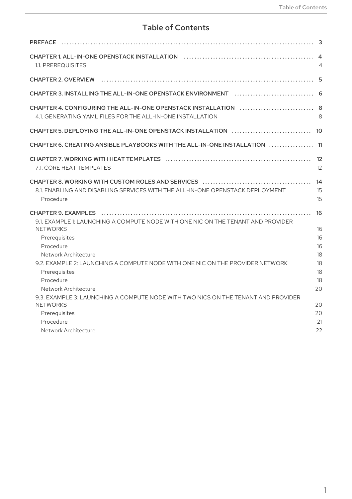## **Table of Contents**

| <b>PREFACE</b>                                                                                                                                                                                                                             |                                  |
|--------------------------------------------------------------------------------------------------------------------------------------------------------------------------------------------------------------------------------------------|----------------------------------|
| 1.1. PREREQUISITES                                                                                                                                                                                                                         | $\overline{4}$                   |
| <b>CHAPTER 2. OVERVIEW</b>                                                                                                                                                                                                                 | 5                                |
|                                                                                                                                                                                                                                            |                                  |
| 4.1. GENERATING YAML FILES FOR THE ALL-IN-ONE INSTALLATION                                                                                                                                                                                 | 8                                |
|                                                                                                                                                                                                                                            | - 10                             |
| CHAPTER 6. CREATING ANSIBLE PLAYBOOKS WITH THE ALL-IN-ONE INSTALLATION $\,\ldots\ldots\ldots\ldots\,11$                                                                                                                                    |                                  |
| 7.1. CORE HEAT TEMPLATES                                                                                                                                                                                                                   | 12<br>12                         |
| 8.1. ENABLING AND DISABLING SERVICES WITH THE ALL-IN-ONE OPENSTACK DEPLOYMENT<br>Procedure                                                                                                                                                 | 14<br>15<br>15                   |
| 9.1. EXAMPLE 1: LAUNCHING A COMPUTE NODE WITH ONE NIC ON THE TENANT AND PROVIDER<br><b>NETWORKS</b><br>Prerequisites<br>Procedure<br>Network Architecture<br>9.2. EXAMPLE 2: LAUNCHING A COMPUTE NODE WITH ONE NIC ON THE PROVIDER NETWORK | 16<br>16<br>16<br>16<br>18<br>18 |
| Prerequisites<br>Procedure<br>Network Architecture                                                                                                                                                                                         | 18<br>18<br>20                   |
| 9.3. EXAMPLE 3: LAUNCHING A COMPUTE NODE WITH TWO NICS ON THE TENANT AND PROVIDER<br><b>NETWORKS</b><br>Prerequisites<br>Procedure<br>Network Architecture<br>22                                                                           | 20<br>20<br>21                   |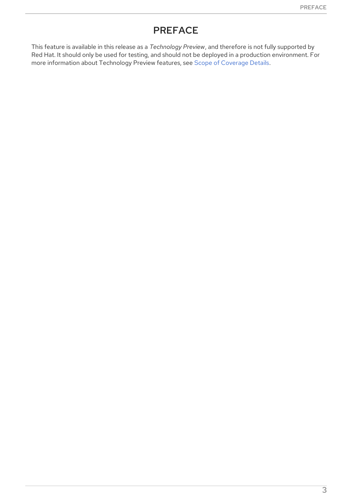## PREFACE

<span id="page-6-0"></span>This feature is available in this release as a *Technology Preview*, and therefore is not fully supported by Red Hat. It should only be used for testing, and should not be deployed in a production environment. For more information about Technology Preview features, see Scope of [Coverage](https://access.redhat.com/support/offerings/production/scope_moredetail) Details.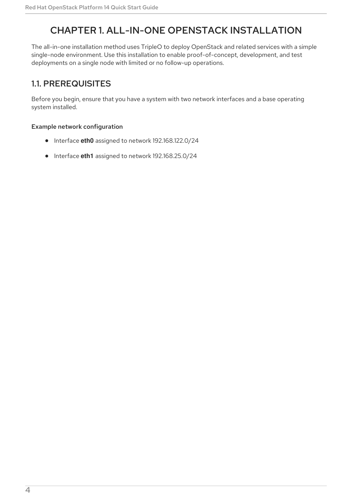# <span id="page-7-0"></span>CHAPTER 1. ALL-IN-ONE OPENSTACK INSTALLATION

The all-in-one installation method uses TripleO to deploy OpenStack and related services with a simple single-node environment. Use this installation to enable proof-of-concept, development, and test deployments on a single node with limited or no follow-up operations.

### <span id="page-7-1"></span>1.1. PREREQUISITES

Before you begin, ensure that you have a system with two network interfaces and a base operating system installed.

#### Example network configuration

- Interface **eth0** assigned to network 192.168.122.0/24
- Interface eth1 assigned to network 192.168.25.0/24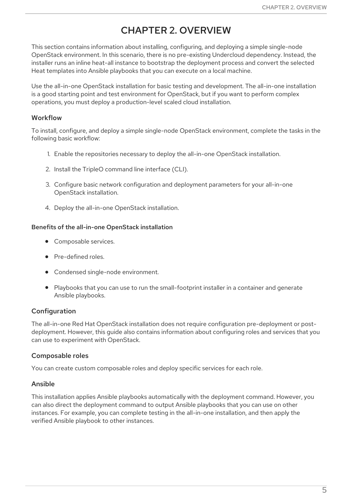# CHAPTER 2. OVERVIEW

<span id="page-8-0"></span>This section contains information about installing, configuring, and deploying a simple single-node OpenStack environment. In this scenario, there is no pre-existing Undercloud dependency. Instead, the installer runs an inline heat-all instance to bootstrap the deployment process and convert the selected Heat templates into Ansible playbooks that you can execute on a local machine.

Use the all-in-one OpenStack installation for basic testing and development. The all-in-one installation is a good starting point and test environment for OpenStack, but if you want to perform complex operations, you must deploy a production-level scaled cloud installation.

#### Workflow

To install, configure, and deploy a simple single-node OpenStack environment, complete the tasks in the following basic workflow:

- 1. Enable the repositories necessary to deploy the all-in-one OpenStack installation.
- 2. Install the TripleO command line interface (CLI).
- 3. Configure basic network configuration and deployment parameters for your all-in-one OpenStack installation.
- 4. Deploy the all-in-one OpenStack installation.

#### Benefits of the all-in-one OpenStack installation

- Composable services.
- Pre-defined roles.
- Condensed single-node environment.
- Playbooks that you can use to run the small-footprint installer in a container and generate Ansible playbooks.

#### Configuration

The all-in-one Red Hat OpenStack installation does not require configuration pre-deployment or postdeployment. However, this guide also contains information about configuring roles and services that you can use to experiment with OpenStack.

#### Composable roles

You can create custom composable roles and deploy specific services for each role.

#### Ansible

This installation applies Ansible playbooks automatically with the deployment command. However, you can also direct the deployment command to output Ansible playbooks that you can use on other instances. For example, you can complete testing in the all-in-one installation, and then apply the verified Ansible playbook to other instances.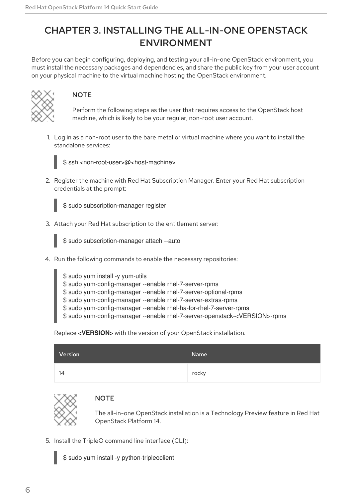# <span id="page-9-0"></span>CHAPTER 3. INSTALLING THE ALL-IN-ONE OPENSTACK ENVIRONMENT

Before you can begin configuring, deploying, and testing your all-in-one OpenStack environment, you must install the necessary packages and dependencies, and share the public key from your user account on your physical machine to the virtual machine hosting the OpenStack environment.



### **NOTE**

Perform the following steps as the user that requires access to the OpenStack host machine, which is likely to be your regular, non-root user account.

1. Log in as a non-root user to the bare metal or virtual machine where you want to install the standalone services:



\$ ssh <non-root-user>@<host-machine>

2. Register the machine with Red Hat Subscription Manager. Enter your Red Hat subscription credentials at the prompt:



3. Attach your Red Hat subscription to the entitlement server:

\$ sudo subscription-manager attach --auto

- 4. Run the following commands to enable the necessary repositories:
	- \$ sudo yum install -y yum-utils \$ sudo yum-config-manager --enable rhel-7-server-rpms \$ sudo yum-config-manager --enable rhel-7-server-optional-rpms \$ sudo yum-config-manager --enable rhel-7-server-extras-rpms \$ sudo yum-config-manager --enable rhel-ha-for-rhel-7-server-rpms
	- \$ sudo yum-config-manager --enable rhel-7-server-openstack-<VERSION>-rpms

Replace **<VERSION>** with the version of your OpenStack installation.

| <b>Version</b> | Name  |
|----------------|-------|
| 14             | rocky |



#### **NOTE**

The all-in-one OpenStack installation is a Technology Preview feature in Red Hat OpenStack Platform 14.

5. Install the TripleO command line interface (CLI):

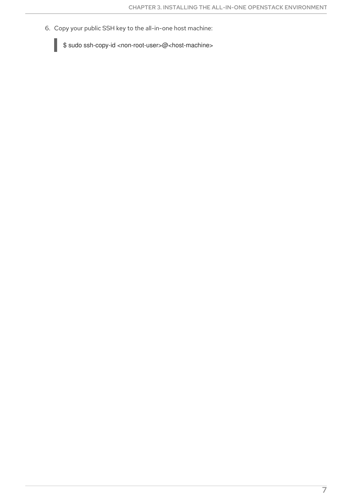6. Copy your public SSH key to the all-in-one host machine:

\$ sudo ssh-copy-id <non-root-user>@<host-machine>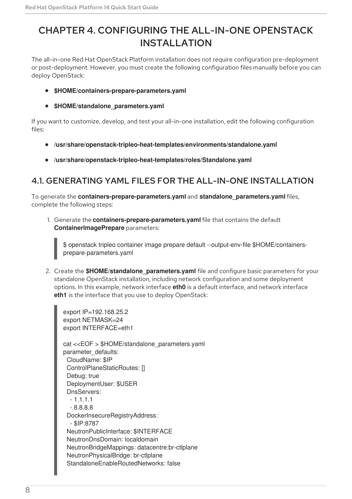# <span id="page-11-0"></span>CHAPTER 4. CONFIGURING THE ALL-IN-ONE OPENSTACK INSTALLATION

The all-in-one Red Hat OpenStack Platform installation does not require configuration pre-deployment or post-deployment. However, you must create the following configuration files manually before you can deploy OpenStack:

- **\$HOME/containers-prepare-parameters.yaml**
- **\$HOME/standalone\_parameters.yaml**

If you want to customize, develop, and test your all-in-one installation, edit the following configuration files:

- **/usr/share/openstack-tripleo-heat-templates/environments/standalone.yaml**
- **/usr/share/openstack-tripleo-heat-templates/roles/Standalone.yaml**

### <span id="page-11-1"></span>4.1. GENERATING YAML FILES FOR THE ALL-IN-ONE INSTALLATION

To generate the **containers-prepare-parameters.yaml** and **standalone\_parameters.yaml** files, complete the following steps:

1. Generate the **containers-prepare-parameters.yaml** file that contains the default **ContainerImagePrepare** parameters:

\$ openstack tripleo container image prepare default --output-env-file \$HOME/containersprepare-parameters.yaml

2. Create the **\$HOME/standalone parameters.yaml** file and configure basic parameters for your standalone OpenStack installation, including network configuration and some deployment options. In this example, network interface **eth0** is a default interface, and network interface **eth1** is the interface that you use to deploy OpenStack:

export IP=192.168.25.2 export NETMASK=24 export INTERFACE=eth1 cat <<EOF > \$HOME/standalone\_parameters.yaml parameter\_defaults: CloudName: \$IP ControlPlaneStaticRoutes: [] Debug: true DeploymentUser: \$USER DnsServers:  $-1.1.1.1$ - 8.8.8.8 DockerInsecureRegistryAddress: - \$IP:8787 NeutronPublicInterface: \$INTERFACE NeutronDnsDomain: localdomain NeutronBridgeMappings: datacentre:br-ctlplane NeutronPhysicalBridge: br-ctlplane StandaloneEnableRoutedNetworks: false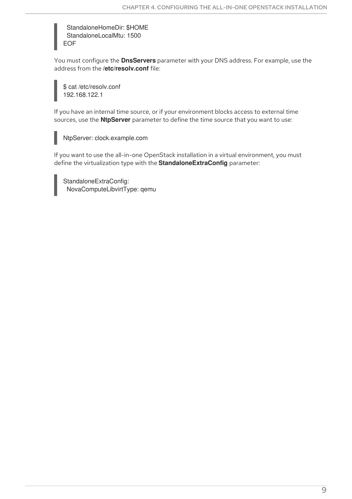StandaloneHomeDir: \$HOME StandaloneLocalMtu: 1500 EOF

You must configure the **DnsServers** parameter with your DNS address. For example, use the address from the **/etc/resolv.conf** file:

\$ cat /etc/resolv.conf 192.168.122.1

If you have an internal time source, or if your environment blocks access to external time sources, use the **NtpServer** parameter to define the time source that you want to use:

NtpServer: clock.example.com

If you want to use the all-in-one OpenStack installation in a virtual environment, you must define the virtualization type with the **StandaloneExtraConfig** parameter:

StandaloneExtraConfig: NovaComputeLibvirtType: qemu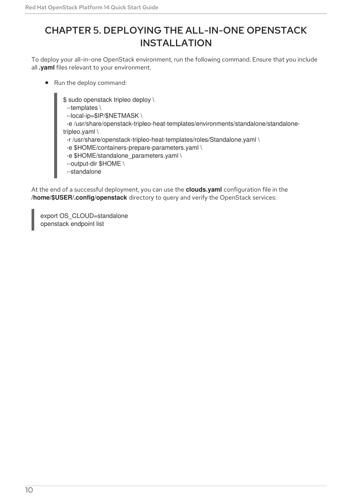# <span id="page-13-0"></span>CHAPTER 5. DEPLOYING THE ALL-IN-ONE OPENSTACK INSTALLATION

To deploy your all-in-one OpenStack environment, run the following command. Ensure that you include all **.yaml** files relevant to your environment.

• Run the deploy command:

\$ sudo openstack tripleo deploy \

--templates \

--local-ip=\$IP/\$NETMASK \

-e /usr/share/openstack-tripleo-heat-templates/environments/standalone/standalonetripleo.yaml \

-r /usr/share/openstack-tripleo-heat-templates/roles/Standalone.yaml \

-e \$HOME/containers-prepare-parameters.yaml \

- -e \$HOME/standalone\_parameters.yaml \
- --output-dir \$HOME \
- --standalone

At the end of a successful deployment, you can use the **clouds.yaml** configuration file in the **/home/\$USER/.config/openstack** directory to query and verify the OpenStack services:

export OS\_CLOUD=standalone openstack endpoint list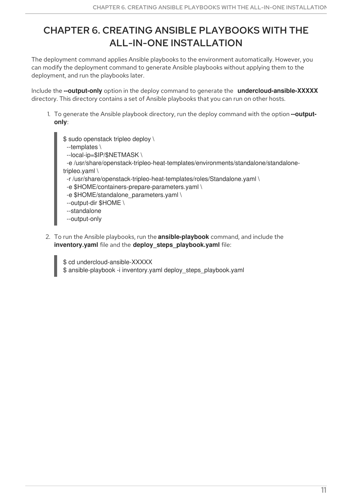# <span id="page-14-0"></span>CHAPTER 6. CREATING ANSIBLE PLAYBOOKS WITH THE ALL-IN-ONE INSTALLATION

The deployment command applies Ansible playbooks to the environment automatically. However, you can modify the deployment command to generate Ansible playbooks without applying them to the deployment, and run the playbooks later.

Include the **--output-only** option in the deploy command to generate the **undercloud-ansible-XXXXX** directory. This directory contains a set of Ansible playbooks that you can run on other hosts.

1. To generate the Ansible playbook directory, run the deploy command with the option **--outputonly**:

\$ sudo openstack tripleo deploy \ --templates \ --local-ip=\$IP/\$NETMASK \ -e /usr/share/openstack-tripleo-heat-templates/environments/standalone/standalonetripleo.yaml \ -r /usr/share/openstack-tripleo-heat-templates/roles/Standalone.yaml \ -e \$HOME/containers-prepare-parameters.yaml \ -e \$HOME/standalone\_parameters.yaml \ --output-dir \$HOME \ --standalone --output-only

2. To run the Ansible playbooks, run the **ansible-playbook** command, and include the **inventory.yaml** file and the **deploy\_steps\_playbook.yaml** file:

\$ cd undercloud-ansible-XXXXX \$ ansible-playbook -i inventory.yaml deploy\_steps\_playbook.yaml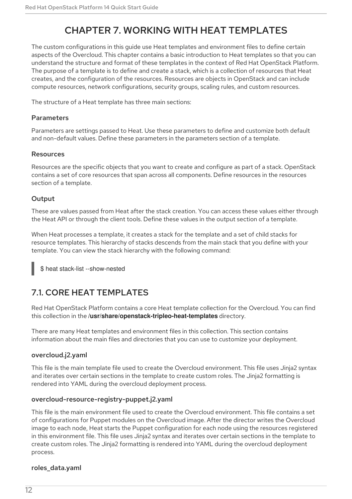# CHAPTER 7. WORKING WITH HEAT TEMPLATES

<span id="page-15-0"></span>The custom configurations in this guide use Heat templates and environment files to define certain aspects of the Overcloud. This chapter contains a basic introduction to Heat templates so that you can understand the structure and format of these templates in the context of Red Hat OpenStack Platform. The purpose of a template is to define and create a stack, which is a collection of resources that Heat creates, and the configuration of the resources. Resources are objects in OpenStack and can include compute resources, network configurations, security groups, scaling rules, and custom resources.

The structure of a Heat template has three main sections:

#### Parameters

Parameters are settings passed to Heat. Use these parameters to define and customize both default and non-default values. Define these parameters in the parameters section of a template.

#### Resources

Resources are the specific objects that you want to create and configure as part of a stack. OpenStack contains a set of core resources that span across all components. Define resources in the resources section of a template.

#### **Output**

These are values passed from Heat after the stack creation. You can access these values either through the Heat API or through the client tools. Define these values in the output section of a template.

When Heat processes a template, it creates a stack for the template and a set of child stacks for resource templates. This hierarchy of stacks descends from the main stack that you define with your template. You can view the stack hierarchy with the following command:

\$ heat stack-list --show-nested

### <span id="page-15-1"></span>7.1. CORE HEAT TEMPLATES

Red Hat OpenStack Platform contains a core Heat template collection for the Overcloud. You can find this collection in the **/usr/share/openstack-tripleo-heat-templates** directory.

There are many Heat templates and environment files in this collection. This section contains information about the main files and directories that you can use to customize your deployment.

#### overcloud.j2.yaml

This file is the main template file used to create the Overcloud environment. This file uses Jinja2 syntax and iterates over certain sections in the template to create custom roles. The Jinja2 formatting is rendered into YAML during the overcloud deployment process.

#### overcloud-resource-registry-puppet.j2.yaml

This file is the main environment file used to create the Overcloud environment. This file contains a set of configurations for Puppet modules on the Overcloud image. After the director writes the Overcloud image to each node, Heat starts the Puppet configuration for each node using the resources registered in this environment file. This file uses Jinja2 syntax and iterates over certain sections in the template to create custom roles. The Jinja2 formatting is rendered into YAML during the overcloud deployment process.

#### roles\_data.yaml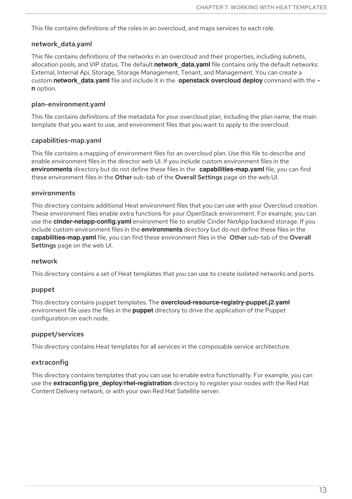This file contains definitions of the roles in an overcloud, and maps services to each role.

#### network\_data.yaml

This file contains definitions of the networks in an overcloud and their properties, including subnets, allocation pools, and VIP status. The default **network data.yaml** file contains only the default networks: External, Internal Api, Storage, Storage Management, Tenant, and Management. You can create a custom **network\_data.yaml** file and include it in the **openstack overcloud deploy** command with the  **n** option.

#### plan-environment.yaml

This file contains definitions of the metadata for your overcloud plan, including the plan name, the main template that you want to use, and environment files that you want to apply to the overcloud.

#### capabilities-map.yaml

This file contains a mapping of environment files for an overcloud plan. Use this file to describe and enable environment files in the director web UI. If you include custom environment files in the **environments** directory but do not define these files in the **capabilities-map.yaml** file, you can find these environment files in the Other sub-tab of the Overall Settings page on the web UI.

#### environments

This directory contains additional Heat environment files that you can use with your Overcloud creation. These environment files enable extra functions for your OpenStack environment. For example, you can use the **cinder-netapp-config.yaml** environment file to enable Cinder NetApp backend storage. If you include custom environment files in the **environments** directory but do not define these files in the **capabilities-map.yaml** file, you can find these environment files in the Other sub-tab of the Overall Settings page on the web UI.

#### network

This directory contains a set of Heat templates that you can use to create isolated networks and ports.

#### puppet

This directory contains puppet templates. The **overcloud-resource-registry-puppet.j2.yaml** environment file uses the files in the **puppet** directory to drive the application of the Puppet configuration on each node.

#### puppet/services

This directory contains Heat templates for all services in the composable service architecture.

#### extraconfig

This directory contains templates that you can use to enable extra functionality. For example, you can use the **extraconfig/pre\_deploy/rhel-registration** directory to register your nodes with the Red Hat Content Delivery network, or with your own Red Hat Satellite server.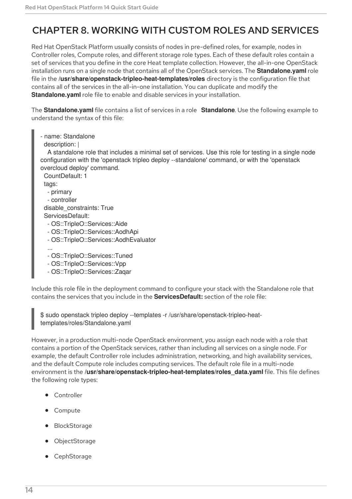# <span id="page-17-0"></span>CHAPTER 8. WORKING WITH CUSTOM ROLES AND SERVICES

Red Hat OpenStack Platform usually consists of nodes in pre-defined roles, for example, nodes in Controller roles, Compute roles, and different storage role types. Each of these default roles contain a set of services that you define in the core Heat template collection. However, the all-in-one OpenStack installation runs on a single node that contains all of the OpenStack services. The **Standalone.yaml** role file in the **/usr/share/openstack-tripleo-heat-templates/roles** directory is the configuration file that contains all of the services in the all-in-one installation. You can duplicate and modify the **Standalone.yaml** role file to enable and disable services in your installation.

The **Standalone.yaml** file contains a list of services in a role **Standalone**. Use the following example to understand the syntax of this file:

- name: Standalone
- description: |

A standalone role that includes a minimal set of services. Use this role for testing in a single node configuration with the 'openstack tripleo deploy --standalone' command, or with the 'openstack overcloud deploy' command.

CountDefault: 1 tags: - primary - controller disable\_constraints: True ServicesDefault: - OS::TripleO::Services::Aide - OS::TripleO::Services::AodhApi - OS::TripleO::Services::AodhEvaluator ... - OS::TripleO::Services::Tuned

- OS::TripleO::Services::Vpp
- OS::TripleO::Services::Zaqar

Include this role file in the deployment command to configure your stack with the Standalone role that contains the services that you include in the **ServicesDefault:** section of the role file:

\$ sudo openstack tripleo deploy --templates -r /usr/share/openstack-tripleo-heattemplates/roles/Standalone.yaml

However, in a production multi-node OpenStack environment, you assign each node with a role that contains a portion of the OpenStack services, rather than including all services on a single node. For example, the default Controller role includes administration, networking, and high availability services, and the default Compute role includes computing services. The default role file in a multi-node environment is the **/usr/share/openstack-tripleo-heat-templates/roles\_data.yaml** file. This file defines the following role types:

- **•** Controller
- Compute
- BlockStorage
- ObjectStorage
- **CephStorage**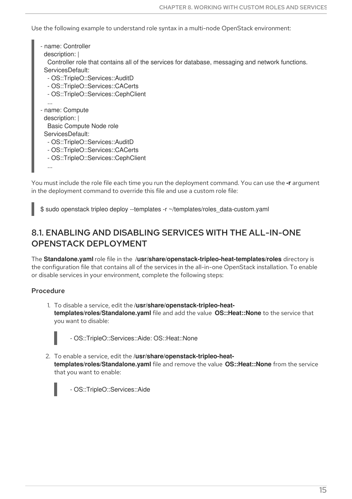Use the following example to understand role syntax in a multi-node OpenStack environment:

```
- name: Controller
 description: |
  Controller role that contains all of the services for database, messaging and network functions.
 ServicesDefault:
  - OS::TripleO::Services::AuditD
  - OS::TripleO::Services::CACerts
  - OS::TripleO::Services::CephClient
  ...
- name: Compute
 description: |
  Basic Compute Node role
 ServicesDefault:
  - OS::TripleO::Services::AuditD
  - OS::TripleO::Services::CACerts
  - OS::TripleO::Services::CephClient
  ...
```
You must include the role file each time you run the deployment command. You can use the **-r** argument in the deployment command to override this file and use a custom role file:

\$ sudo openstack tripleo deploy --templates -r ~/templates/roles\_data-custom.yaml

### <span id="page-18-0"></span>8.1. ENABLING AND DISABLING SERVICES WITH THE ALL-IN-ONE OPENSTACK DEPLOYMENT

The **Standalone.yaml** role file in the **/usr/share/openstack-tripleo-heat-templates/roles** directory is the configuration file that contains all of the services in the all-in-one OpenStack installation. To enable or disable services in your environment, complete the following steps:

#### <span id="page-18-1"></span>Procedure

1. To disable a service, edit the **/usr/share/openstack-tripleo-heattemplates/roles/Standalone.yaml** file and add the value **OS::Heat::None** to the service that you want to disable:



- OS::TripleO::Services::Aide: OS::Heat::None

2. To enable a service, edit the **/usr/share/openstack-tripleo-heattemplates/roles/Standalone.yaml** file and remove the value **OS::Heat::None** from the service that you want to enable:

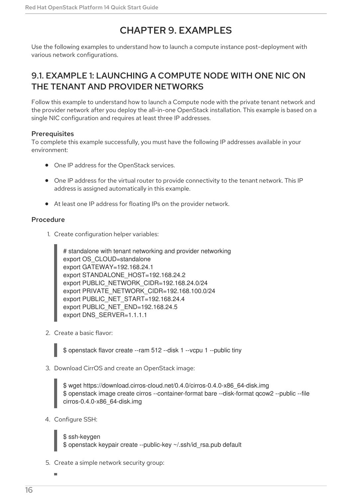# CHAPTER 9. EXAMPLES

<span id="page-19-0"></span>Use the following examples to understand how to launch a compute instance post-deployment with various network configurations.

### <span id="page-19-1"></span>9.1. EXAMPLE 1: LAUNCHING A COMPUTE NODE WITH ONE NIC ON THE TENANT AND PROVIDER NETWORKS

Follow this example to understand how to launch a Compute node with the private tenant network and the provider network after you deploy the all-in-one OpenStack installation. This example is based on a single NIC configuration and requires at least three IP addresses.

#### <span id="page-19-2"></span>**Prerequisites**

To complete this example successfully, you must have the following IP addresses available in your environment:

- One IP address for the OpenStack services.
- One IP address for the virtual router to provide connectivity to the tenant network. This IP address is assigned automatically in this example.
- At least one IP address for floating IPs on the provider network.

#### <span id="page-19-3"></span>Procedure

1. Create configuration helper variables:

# standalone with tenant networking and provider networking export OS\_CLOUD=standalone export GATEWAY=192.168.24.1 export STANDALONE\_HOST=192.168.24.2 export PUBLIC\_NETWORK\_CIDR=192.168.24.0/24 export PRIVATE\_NETWORK\_CIDR=192.168.100.0/24 export PUBLIC\_NET\_START=192.168.24.4 export PUBLIC\_NET\_END=192.168.24.5 export DNS\_SERVER=1.1.1.1

2. Create a basic flavor:

\$ openstack flavor create --ram 512 --disk 1 --vcpu 1 --public tiny

3. Download CirrOS and create an OpenStack image:

\$ wget https://download.cirros-cloud.net/0.4.0/cirros-0.4.0-x86\_64-disk.img \$ openstack image create cirros --container-format bare --disk-format qcow2 --public --file cirros-0.4.0-x86\_64-disk.img

4. Configure SSH:

\$ ssh-keygen \$ openstack keypair create --public-key ~/.ssh/id\_rsa.pub default

5. Create a simple network security group: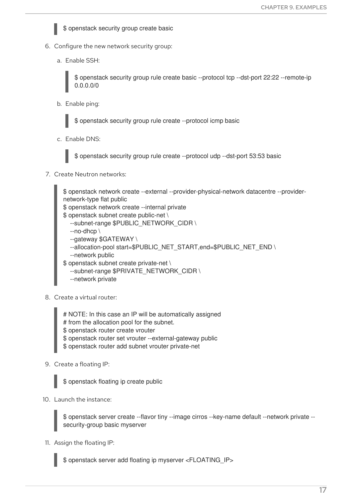

- 6. Configure the new network security group:
	- a. Enable SSH:

\$ openstack security group rule create basic --protocol tcp --dst-port 22:22 --remote-ip 0.0.0.0/0

b. Enable ping:

\$ openstack security group rule create --protocol icmp basic

c. Enable DNS:



\$ openstack security group rule create --protocol udp --dst-port 53:53 basic

#### 7. Create Neutron networks:

\$ openstack network create --external --provider-physical-network datacentre --providernetwork-type flat public \$ openstack network create --internal private \$ openstack subnet create public-net \ --subnet-range \$PUBLIC\_NETWORK\_CIDR \ --no-dhcp \ --gateway \$GATEWAY \ --allocation-pool start=\$PUBLIC\_NET\_START,end=\$PUBLIC\_NET\_END \ --network public \$ openstack subnet create private-net \ --subnet-range \$PRIVATE\_NETWORK\_CIDR \ --network private

- 8. Create a virtual router:
	- # NOTE: In this case an IP will be automatically assigned
	- # from the allocation pool for the subnet.
	- \$ openstack router create vrouter
	- \$ openstack router set vrouter --external-gateway public
	- \$ openstack router add subnet vrouter private-net
- 9. Create a floating IP:

\$ openstack floating ip create public

10. Launch the instance:

\$ openstack server create --flavor tiny --image cirros --key-name default --network private - security-group basic myserver

11. Assign the floating IP:

\$ openstack server add floating ip myserver <FLOATING\_IP>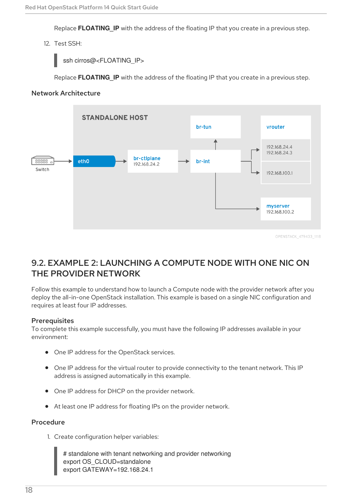Replace **FLOATING IP** with the address of the floating IP that you create in a previous step.

#### 12. Test SSH:

ssh cirros@<FLOATING\_IP>

Replace **FLOATING\_IP** with the address of the floating IP that you create in a previous step.

#### <span id="page-21-0"></span>Network Architecture



### <span id="page-21-1"></span>9.2. EXAMPLE 2: LAUNCHING A COMPUTE NODE WITH ONE NIC ON THE PROVIDER NETWORK

Follow this example to understand how to launch a Compute node with the provider network after you deploy the all-in-one OpenStack installation. This example is based on a single NIC configuration and requires at least four IP addresses.

#### <span id="page-21-2"></span>**Prerequisites**

To complete this example successfully, you must have the following IP addresses available in your environment:

- One IP address for the OpenStack services.
- One IP address for the virtual router to provide connectivity to the tenant network. This IP address is assigned automatically in this example.
- One IP address for DHCP on the provider network.
- At least one IP address for floating IPs on the provider network.

#### <span id="page-21-3"></span>Procedure

1. Create configuration helper variables:

# standalone with tenant networking and provider networking export OS\_CLOUD=standalone export GATEWAY=192.168.24.1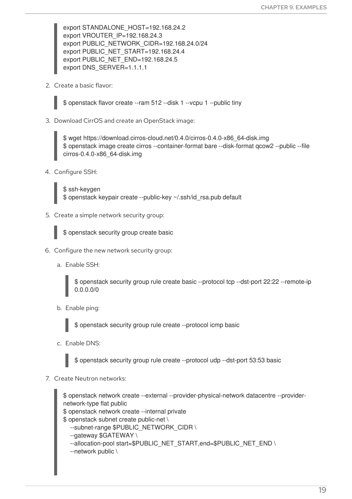export STANDALONE\_HOST=192.168.24.2 export VROUTER\_IP=192.168.24.3 export PUBLIC\_NETWORK\_CIDR=192.168.24.0/24 export PUBLIC\_NET\_START=192.168.24.4 export PUBLIC\_NET\_END=192.168.24.5 export DNS\_SERVER=1.1.1.1

2. Create a basic flavor:

\$ openstack flavor create --ram 512 --disk 1 --vcpu 1 --public tiny

3. Download CirrOS and create an OpenStack image:

\$ wget https://download.cirros-cloud.net/0.4.0/cirros-0.4.0-x86\_64-disk.img \$ openstack image create cirros --container-format bare --disk-format qcow2 --public --file cirros-0.4.0-x86\_64-disk.img

4. Configure SSH:

\$ ssh-keygen \$ openstack keypair create --public-key ~/.ssh/id\_rsa.pub default

5. Create a simple network security group:

\$ openstack security group create basic

- 6. Configure the new network security group:
	- a. Enable SSH:

\$ openstack security group rule create basic --protocol tcp --dst-port 22:22 --remote-ip 0.0.0.0/0

b. Enable ping:

\$ openstack security group rule create --protocol icmp basic

c. Enable DNS:

\$ openstack security group rule create --protocol udp --dst-port 53:53 basic

7. Create Neutron networks:

\$ openstack network create --external --provider-physical-network datacentre --providernetwork-type flat public \$ openstack network create --internal private \$ openstack subnet create public-net \ --subnet-range \$PUBLIC\_NETWORK\_CIDR \ --gateway \$GATEWAY \

- --allocation-pool start=\$PUBLIC\_NET\_START,end=\$PUBLIC\_NET\_END \
- --network public \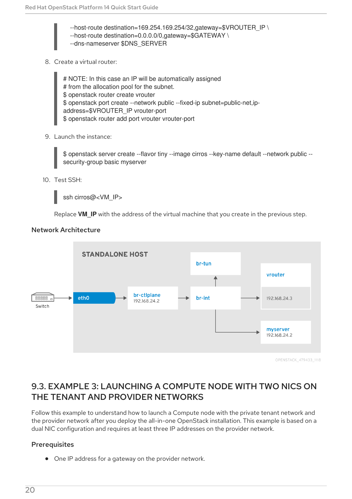$-$ host-route destination=169.254.169.254/32,gateway=\$VROUTER\_IP \ --host-route destination=0.0.0.0/0,gateway=\$GATEWAY \ --dns-nameserver \$DNS\_SERVER

8. Create a virtual router:

# NOTE: In this case an IP will be automatically assigned # from the allocation pool for the subnet. \$ openstack router create vrouter \$ openstack port create --network public --fixed-ip subnet=public-net,ipaddress=\$VROUTER\_IP vrouter-port \$ openstack router add port vrouter vrouter-port

9. Launch the instance:

\$ openstack server create --flavor tiny --image cirros --key-name default --network public - security-group basic myserver

10. Test SSH:

ssh cirros@<VM\_IP>

Replace **VM\_IP** with the address of the virtual machine that you create in the previous step.

#### <span id="page-23-0"></span>Network Architecture



OPENSTACK 479433 1118

### <span id="page-23-1"></span>9.3. EXAMPLE 3: LAUNCHING A COMPUTE NODE WITH TWO NICS ON THE TENANT AND PROVIDER NETWORKS

Follow this example to understand how to launch a Compute node with the private tenant network and the provider network after you deploy the all-in-one OpenStack installation. This example is based on a dual NIC configuration and requires at least three IP addresses on the provider network.

#### <span id="page-23-2"></span>**Prerequisites**

One IP address for a gateway on the provider network.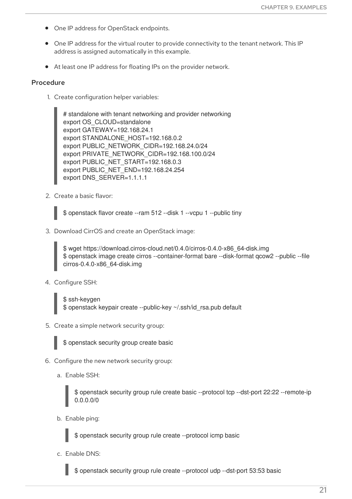- One IP address for OpenStack endpoints.
- One IP address for the virtual router to provide connectivity to the tenant network. This IP address is assigned automatically in this example.
- At least one IP address for floating IPs on the provider network.

#### <span id="page-24-0"></span>Procedure

1. Create configuration helper variables:

# standalone with tenant networking and provider networking export OS\_CLOUD=standalone export GATEWAY=192.168.24.1 export STANDALONE\_HOST=192.168.0.2 export PUBLIC\_NETWORK\_CIDR=192.168.24.0/24 export PRIVATE\_NETWORK\_CIDR=192.168.100.0/24 export PUBLIC\_NET\_START=192.168.0.3 export PUBLIC\_NET\_END=192.168.24.254 export DNS\_SERVER=1.1.1.1

2. Create a basic flavor:

\$ openstack flavor create --ram 512 --disk 1 --vcpu 1 --public tiny

3. Download CirrOS and create an OpenStack image:

\$ wget https://download.cirros-cloud.net/0.4.0/cirros-0.4.0-x86\_64-disk.img \$ openstack image create cirros --container-format bare --disk-format qcow2 --public --file cirros-0.4.0-x86\_64-disk.img

- 4. Configure SSH:
	- \$ ssh-keygen \$ openstack keypair create --public-key ~/.ssh/id\_rsa.pub default
- 5. Create a simple network security group:



\$ openstack security group create basic

- 6. Configure the new network security group:
	- a. Enable SSH:

\$ openstack security group rule create basic --protocol tcp --dst-port 22:22 --remote-ip 0.0.0.0/0

b. Enable ping:

\$ openstack security group rule create --protocol icmp basic

c. Enable DNS:

\$ openstack security group rule create --protocol udp --dst-port 53:53 basic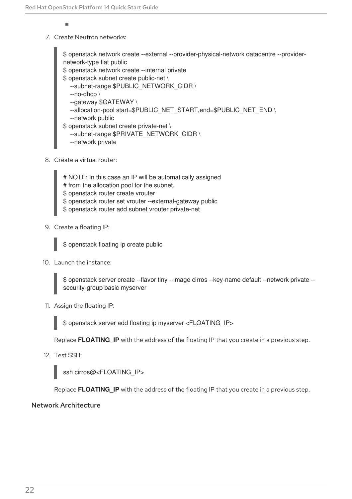- $\overline{a}$
- 7. Create Neutron networks:

\$ openstack network create --external --provider-physical-network datacentre --providernetwork-type flat public \$ openstack network create --internal private \$ openstack subnet create public-net \ --subnet-range \$PUBLIC\_NETWORK\_CIDR \ --no-dhcp \ --gateway \$GATEWAY \ --allocation-pool start=\$PUBLIC\_NET\_START,end=\$PUBLIC\_NET\_END \ --network public \$ openstack subnet create private-net \ --subnet-range \$PRIVATE\_NETWORK\_CIDR \

- --network private
- 8. Create a virtual router:
	- # NOTE: In this case an IP will be automatically assigned
	- # from the allocation pool for the subnet.
	- \$ openstack router create vrouter
	- \$ openstack router set vrouter --external-gateway public
	- \$ openstack router add subnet vrouter private-net
- 9. Create a floating IP:

\$ openstack floating ip create public

10. Launch the instance:

\$ openstack server create --flavor tiny --image cirros --key-name default --network private - security-group basic myserver

11. Assign the floating IP:

\$ openstack server add floating ip myserver <FLOATING\_IP>

Replace **FLOATING\_IP** with the address of the floating IP that you create in a previous step.

12. Test SSH:

ssh cirros@<FLOATING\_IP>

Replace **FLOATING** IP with the address of the floating IP that you create in a previous step.

#### <span id="page-25-0"></span>Network Architecture